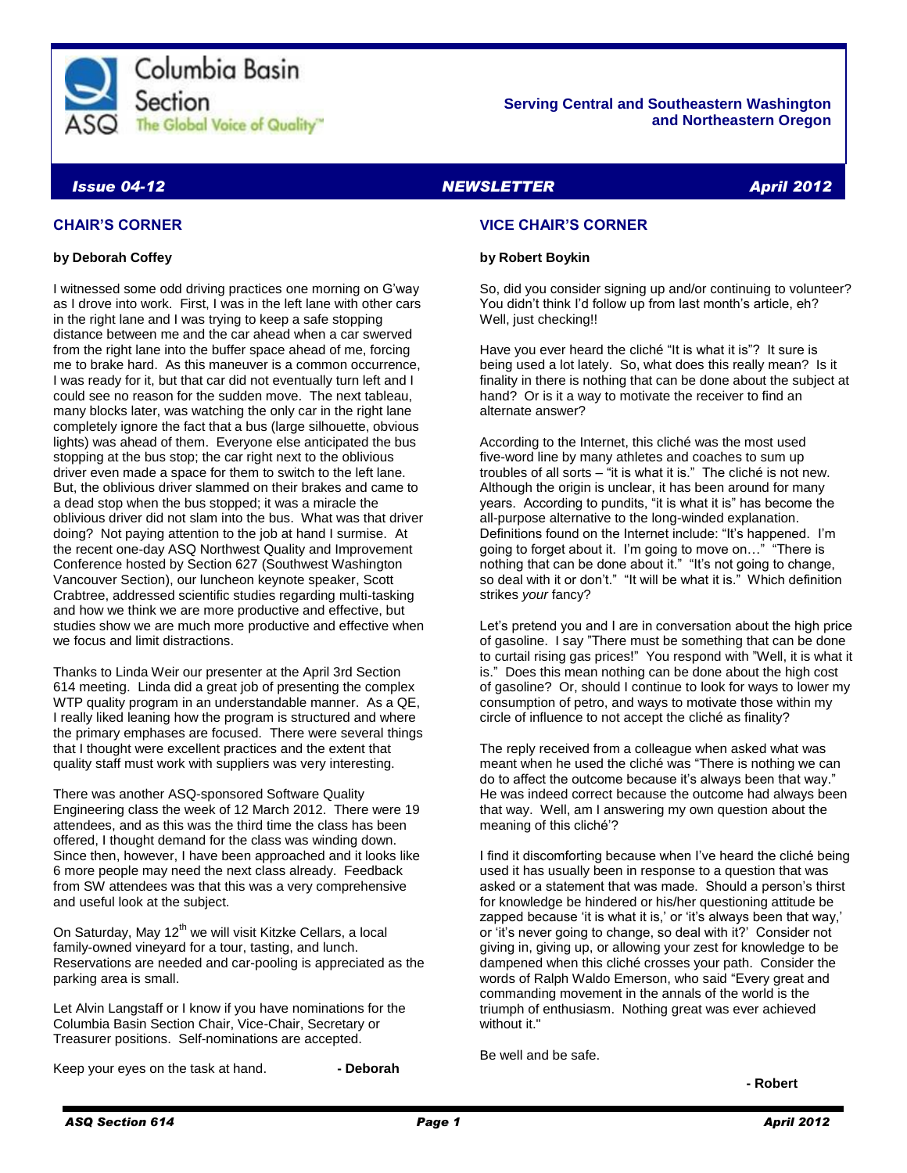

#### **Serving Central and Southeastern Washington and Northeastern Oregon**

# *Issue 04-12 NEWSLETTER April 2012*

# **CHAIR'S CORNER**

#### **by Deborah Coffey**

I witnessed some odd driving practices one morning on G'way as I drove into work. First, I was in the left lane with other cars in the right lane and I was trying to keep a safe stopping distance between me and the car ahead when a car swerved from the right lane into the buffer space ahead of me, forcing me to brake hard. As this maneuver is a common occurrence, I was ready for it, but that car did not eventually turn left and I could see no reason for the sudden move. The next tableau, many blocks later, was watching the only car in the right lane completely ignore the fact that a bus (large silhouette, obvious lights) was ahead of them. Everyone else anticipated the bus stopping at the bus stop; the car right next to the oblivious driver even made a space for them to switch to the left lane. But, the oblivious driver slammed on their brakes and came to a dead stop when the bus stopped; it was a miracle the oblivious driver did not slam into the bus. What was that driver doing? Not paying attention to the job at hand I surmise. At the recent one-day ASQ Northwest Quality and Improvement Conference hosted by Section 627 (Southwest Washington Vancouver Section), our luncheon keynote speaker, Scott Crabtree, addressed scientific studies regarding multi-tasking and how we think we are more productive and effective, but studies show we are much more productive and effective when we focus and limit distractions.

Thanks to Linda Weir our presenter at the April 3rd Section 614 meeting. Linda did a great job of presenting the complex WTP quality program in an understandable manner. As a QE, I really liked leaning how the program is structured and where the primary emphases are focused. There were several things that I thought were excellent practices and the extent that quality staff must work with suppliers was very interesting.

There was another ASQ-sponsored Software Quality Engineering class the week of 12 March 2012. There were 19 attendees, and as this was the third time the class has been offered, I thought demand for the class was winding down. Since then, however, I have been approached and it looks like 6 more people may need the next class already. Feedback from SW attendees was that this was a very comprehensive and useful look at the subject.

On Saturday, May 12<sup>th</sup> we will visit Kitzke Cellars, a local family-owned vineyard for a tour, tasting, and lunch. Reservations are needed and car-pooling is appreciated as the parking area is small.

Let Alvin Langstaff or I know if you have nominations for the Columbia Basin Section Chair, Vice-Chair, Secretary or Treasurer positions. Self-nominations are accepted.

Keep your eyes on the task at hand. **- Deborah**

# **VICE CHAIR'S CORNER**

#### **by Robert Boykin**

So, did you consider signing up and/or continuing to volunteer? You didn't think I'd follow up from last month's article, eh? Well, just checking!!

Have you ever heard the cliché "It is what it is"? It sure is being used a lot lately. So, what does this really mean? Is it finality in there is nothing that can be done about the subject at hand? Or is it a way to motivate the receiver to find an alternate answer?

According to the Internet, this cliché was the most used five-word line by many athletes and coaches to sum up troubles of all sorts – "it is what it is." The cliché is not new. Although the origin is unclear, it has been around for many years. According to pundits, "it is what it is" has become the all-purpose alternative to the long-winded explanation. Definitions found on the Internet include: "It's happened. I'm going to forget about it. I'm going to move on…" "There is nothing that can be done about it." "It's not going to change, so deal with it or don't." "It will be what it is." Which definition strikes *your* fancy?

Let's pretend you and I are in conversation about the high price of gasoline. I say "There must be something that can be done to curtail rising gas prices!" You respond with "Well, it is what it is." Does this mean nothing can be done about the high cost of gasoline? Or, should I continue to look for ways to lower my consumption of petro, and ways to motivate those within my circle of influence to not accept the cliché as finality?

The reply received from a colleague when asked what was meant when he used the cliché was "There is nothing we can do to affect the outcome because it's always been that way." He was indeed correct because the outcome had always been that way. Well, am I answering my own question about the meaning of this cliché'?

I find it discomforting because when I've heard the cliché being used it has usually been in response to a question that was asked or a statement that was made. Should a person's thirst for knowledge be hindered or his/her questioning attitude be zapped because 'it is what it is,' or 'it's always been that way,' or 'it's never going to change, so deal with it?' Consider not giving in, giving up, or allowing your zest for knowledge to be dampened when this cliché crosses your path. Consider the words of Ralph Waldo Emerson, who said "Every great and commanding movement in the annals of the world is the triumph of enthusiasm. Nothing great was ever achieved without it."

Be well and be safe.

**- Robert**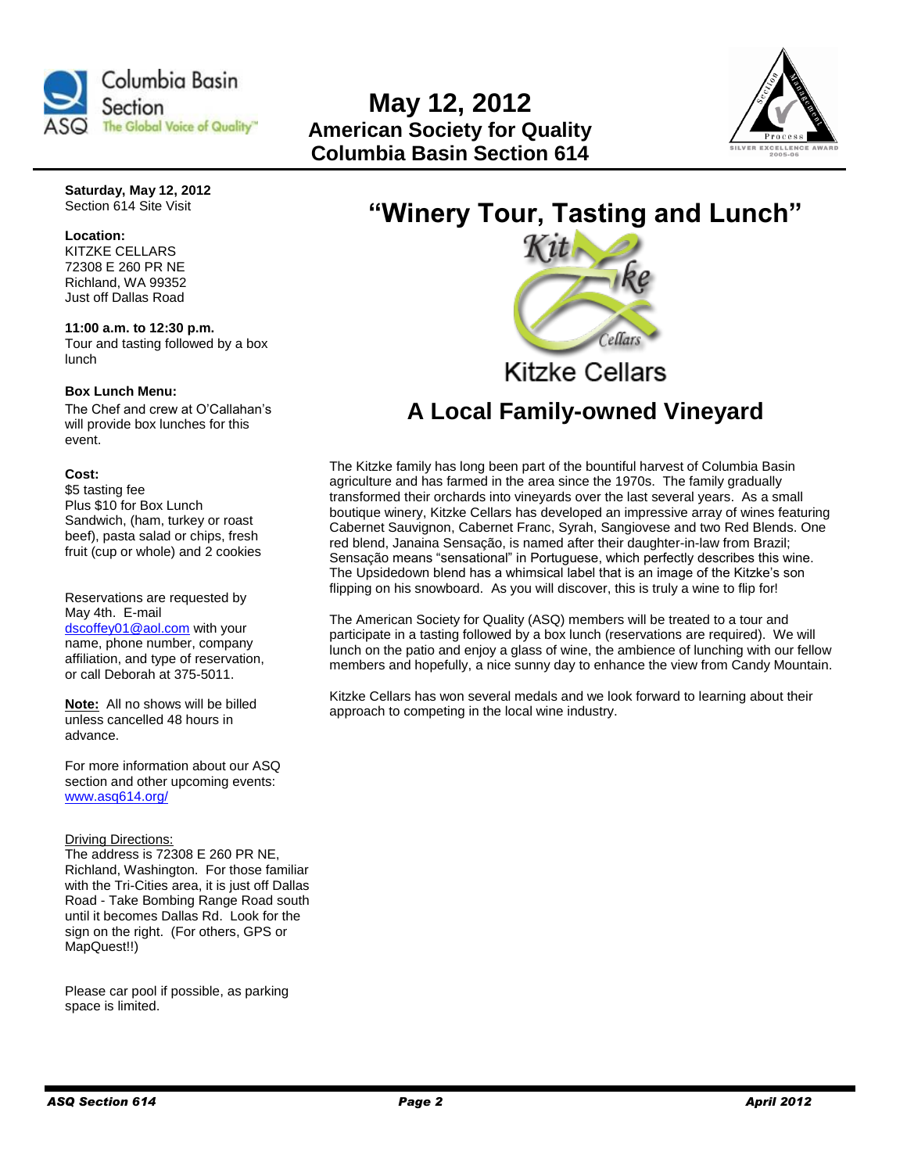

# **May 12, 2012 American Society for Quality Columbia Basin Section 614**



**Saturday, May 12, 2012** Section 614 Site Visit

#### **Location:**  KITZKE CELLARS

72308 E 260 PR NE Richland, WA 99352 Just off Dallas Road

**11:00 a.m. to 12:30 p.m.**  Tour and tasting followed by a box lunch

#### **Box Lunch Menu:**

The Chef and crew at O'Callahan's will provide box lunches for this event.

### **Cost:**

\$5 tasting fee Plus \$10 for Box Lunch Sandwich, (ham, turkey or roast beef), pasta salad or chips, fresh fruit (cup or whole) and 2 cookies

Reservations are requested by May 4th. E-mail [dscoffey01@aol.com](mailto:dscoffey01@aol.com) with your name, phone number, company affiliation, and type of reservation, or call Deborah at 375-5011.

**Note:** All no shows will be billed unless cancelled 48 hours in advance.

For more information about our ASQ section and other upcoming events: [www.asq614.org/](http://www.asq614.org/)

#### **Driving Directions:**

The address is 72308 E 260 PR NE, Richland, Washington. For those familiar with the Tri-Cities area, it is just off Dallas Road - Take Bombing Range Road south until it becomes Dallas Rd. Look for the sign on the right. (For others, GPS or MapQuest!!)

Please car pool if possible, as parking space is limited.

# **"Winery Tour, Tasting and Lunch"**



# **Kitzke Cellars**

# **A Local Family-owned Vineyard**

The Kitzke family has long been part of the bountiful harvest of Columbia Basin agriculture and has farmed in the area since the 1970s. The family gradually transformed their orchards into vineyards over the last several years. As a small boutique winery, Kitzke Cellars has developed an impressive array of wines featuring Cabernet Sauvignon, Cabernet Franc, Syrah, Sangiovese and two Red Blends. One red blend, Janaina Sensação, is named after their daughter-in-law from Brazil; Sensação means "sensational" in Portuguese, which perfectly describes this wine. The Upsidedown blend has a whimsical label that is an image of the Kitzke's son flipping on his snowboard. As you will discover, this is truly a wine to flip for!

The American Society for Quality (ASQ) members will be treated to a tour and participate in a tasting followed by a box lunch (reservations are required). We will lunch on the patio and enjoy a glass of wine, the ambience of lunching with our fellow members and hopefully, a nice sunny day to enhance the view from Candy Mountain.

Kitzke Cellars has won several medals and we look forward to learning about their approach to competing in the local wine industry.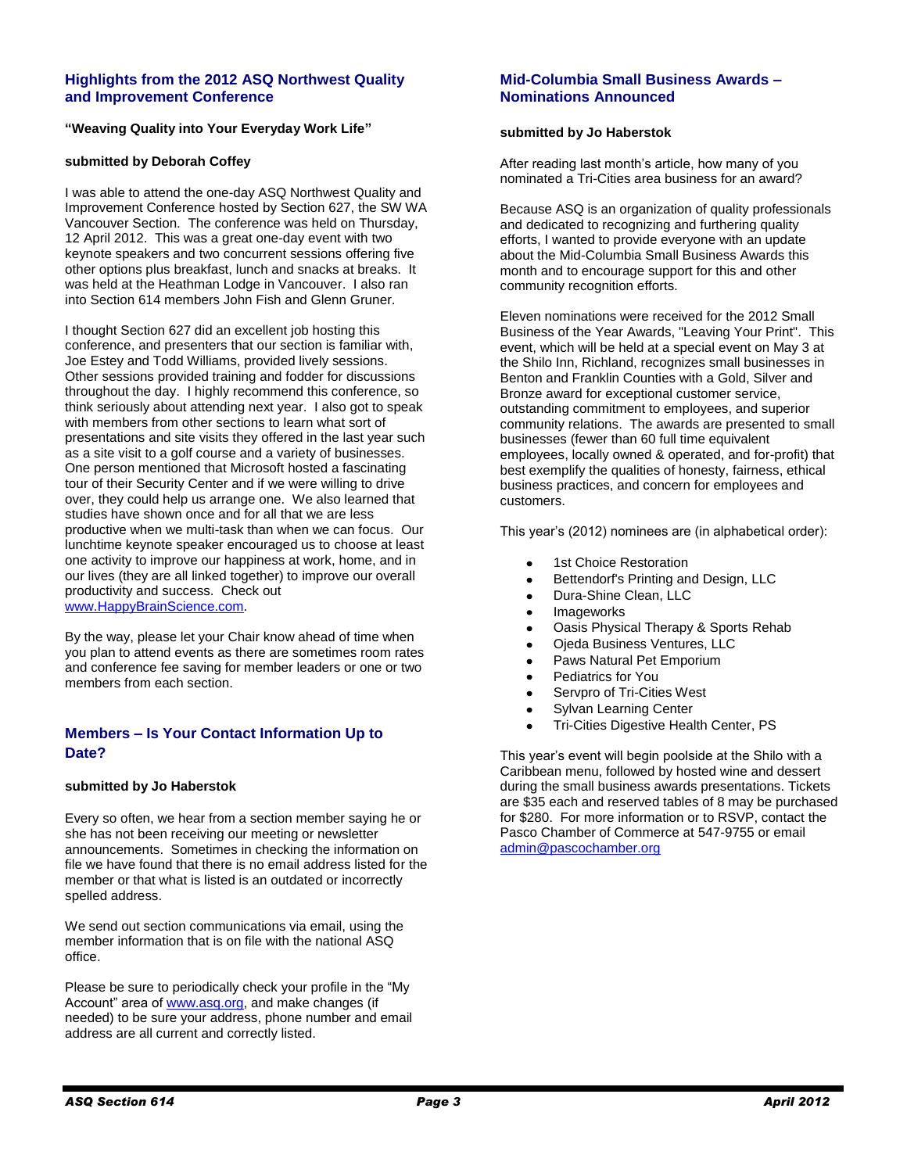### **Highlights from the 2012 ASQ Northwest Quality and Improvement Conference**

#### **"Weaving Quality into Your Everyday Work Life"**

#### **submitted by Deborah Coffey**

I was able to attend the one-day ASQ Northwest Quality and Improvement Conference hosted by Section 627, the SW WA Vancouver Section. The conference was held on Thursday, 12 April 2012. This was a great one-day event with two keynote speakers and two concurrent sessions offering five other options plus breakfast, lunch and snacks at breaks. It was held at the Heathman Lodge in Vancouver. I also ran into Section 614 members John Fish and Glenn Gruner.

I thought Section 627 did an excellent job hosting this conference, and presenters that our section is familiar with, Joe Estey and Todd Williams, provided lively sessions. Other sessions provided training and fodder for discussions throughout the day. I highly recommend this conference, so think seriously about attending next year. I also got to speak with members from other sections to learn what sort of presentations and site visits they offered in the last year such as a site visit to a golf course and a variety of businesses. One person mentioned that Microsoft hosted a fascinating tour of their Security Center and if we were willing to drive over, they could help us arrange one. We also learned that studies have shown once and for all that we are less productive when we multi-task than when we can focus. Our lunchtime keynote speaker encouraged us to choose at least one activity to improve our happiness at work, home, and in our lives (they are all linked together) to improve our overall productivity and success. Check out [www.HappyBrainScience.com.](http://www.happybrainscience.com/)

By the way, please let your Chair know ahead of time when you plan to attend events as there are sometimes room rates and conference fee saving for member leaders or one or two members from each section.

### **Members – Is Your Contact Information Up to Date?**

#### **submitted by Jo Haberstok**

Every so often, we hear from a section member saying he or she has not been receiving our meeting or newsletter announcements. Sometimes in checking the information on file we have found that there is no email address listed for the member or that what is listed is an outdated or incorrectly spelled address.

We send out section communications via email, using the member information that is on file with the national ASQ office.

Please be sure to periodically check your profile in the "My Account" area of [www.asq.org,](http://www.asq.org/) and make changes (if needed) to be sure your address, phone number and email address are all current and correctly listed.

### **Mid-Columbia Small Business Awards – Nominations Announced**

#### **submitted by Jo Haberstok**

After reading last month's article, how many of you nominated a Tri-Cities area business for an award?

Because ASQ is an organization of quality professionals and dedicated to recognizing and furthering quality efforts, I wanted to provide everyone with an update about the Mid-Columbia Small Business Awards this month and to encourage support for this and other community recognition efforts.

Eleven nominations were received for the 2012 Small Business of the Year Awards, "Leaving Your Print". This event, which will be held at a special event on May 3 at the Shilo Inn, Richland, recognizes small businesses in Benton and Franklin Counties with a Gold, Silver and Bronze award for exceptional customer service, outstanding commitment to employees, and superior community relations. The awards are presented to small businesses (fewer than 60 full time equivalent employees, locally owned & operated, and for-profit) that best exemplify the qualities of honesty, fairness, ethical business practices, and concern for employees and customers.

This year's (2012) nominees are (in alphabetical order):

- 1st Choice Restoration
- Bettendorf's Printing and Design, LLC  $\bullet$
- Dura-Shine Clean, LLC  $\bullet$
- Imageworks  $\bullet$
- Oasis Physical Therapy & Sports Rehab
- Ojeda Business Ventures, LLC
- Paws Natural Pet Emporium
- Pediatrics for You
- Servpro of Tri-Cities West
- Sylvan Learning Center
- Tri-Cities Digestive Health Center, PS

This year's event will begin poolside at the Shilo with a Caribbean menu, followed by hosted wine and dessert during the small business awards presentations. Tickets are \$35 each and reserved tables of 8 may be purchased for \$280. For more information or to RSVP, contact the Pasco Chamber of Commerce at 547-9755 or email [admin@pascochamber.org](mailto:admin@pascochamber.org)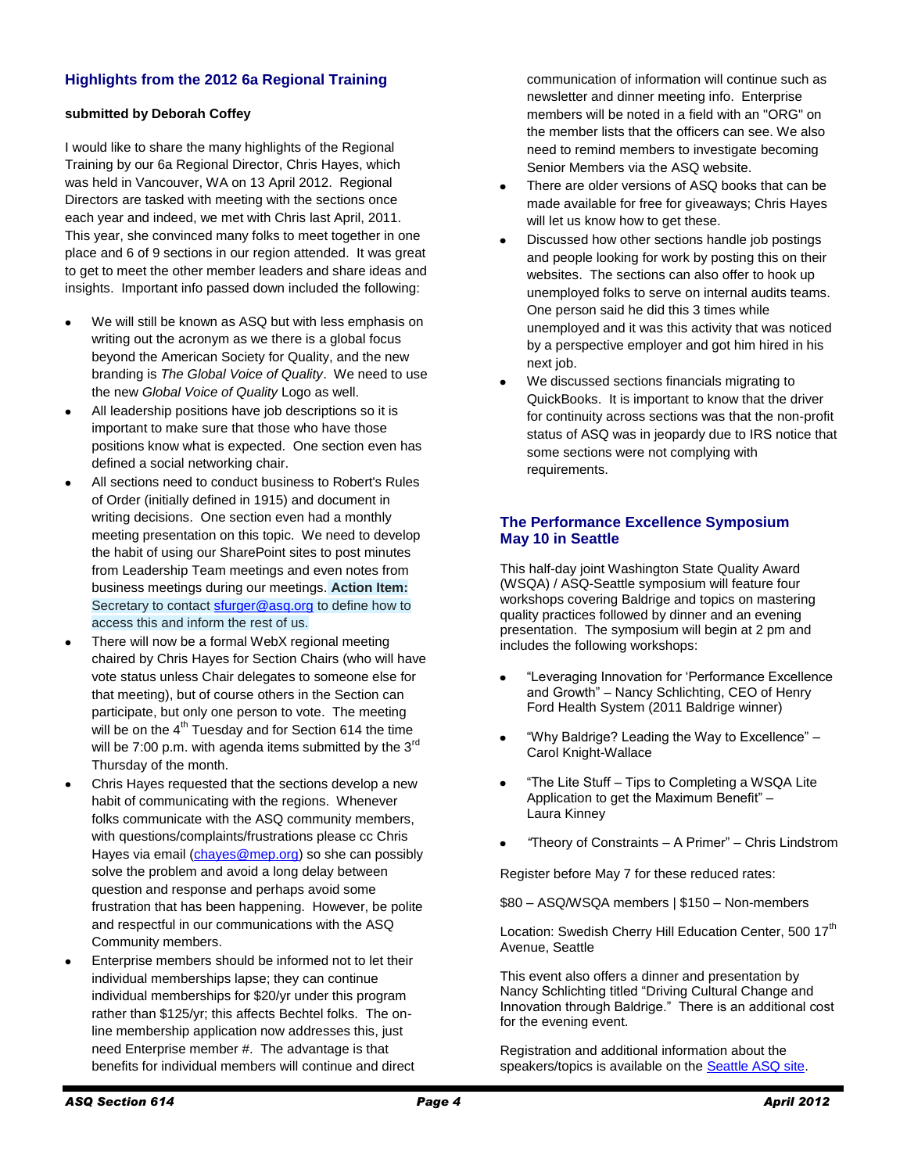# **Highlights from the 2012 6a Regional Training**

### **submitted by Deborah Coffey**

I would like to share the many highlights of the Regional Training by our 6a Regional Director, Chris Hayes, which was held in Vancouver, WA on 13 April 2012. Regional Directors are tasked with meeting with the sections once each year and indeed, we met with Chris last April, 2011. This year, she convinced many folks to meet together in one place and 6 of 9 sections in our region attended. It was great to get to meet the other member leaders and share ideas and insights. Important info passed down included the following:

- We will still be known as ASQ but with less emphasis on  $\bullet$ writing out the acronym as we there is a global focus beyond the American Society for Quality, and the new branding is *The Global Voice of Quality*. We need to use the new *Global Voice of Quality* Logo as well.
- All leadership positions have job descriptions so it is important to make sure that those who have those positions know what is expected. One section even has defined a social networking chair.
- All sections need to conduct business to Robert's Rules of Order (initially defined in 1915) and document in writing decisions. One section even had a monthly meeting presentation on this topic. We need to develop the habit of using our SharePoint sites to post minutes from Leadership Team meetings and even notes from business meetings during our meetings. **Action Item:** Secretary to contact [sfurger@asq.org](mailto:sfurger@asq.org) to define how to access this and inform the rest of us.
- There will now be a formal WebX regional meeting chaired by Chris Hayes for Section Chairs (who will have vote status unless Chair delegates to someone else for that meeting), but of course others in the Section can participate, but only one person to vote. The meeting will be on the  $4<sup>th</sup>$  Tuesday and for Section 614 the time will be 7:00 p.m. with agenda items submitted by the 3<sup>rd</sup> Thursday of the month.
- Chris Hayes requested that the sections develop a new habit of communicating with the regions. Whenever folks communicate with the ASQ community members, with questions/complaints/frustrations please cc Chris Hayes via email [\(chayes@mep.org\)](mailto:chayes@mep.org) so she can possibly solve the problem and avoid a long delay between question and response and perhaps avoid some frustration that has been happening. However, be polite and respectful in our communications with the ASQ Community members.
- Enterprise members should be informed not to let their individual memberships lapse; they can continue individual memberships for \$20/yr under this program rather than \$125/yr; this affects Bechtel folks. The online membership application now addresses this, just need Enterprise member #. The advantage is that benefits for individual members will continue and direct

communication of information will continue such as newsletter and dinner meeting info. Enterprise members will be noted in a field with an "ORG" on the member lists that the officers can see. We also need to remind members to investigate becoming Senior Members via the ASQ website.

- There are older versions of ASQ books that can be made available for free for giveaways; Chris Hayes will let us know how to get these.
- Discussed how other sections handle job postings  $\bullet$ and people looking for work by posting this on their websites. The sections can also offer to hook up unemployed folks to serve on internal audits teams. One person said he did this 3 times while unemployed and it was this activity that was noticed by a perspective employer and got him hired in his next job.
- We discussed sections financials migrating to  $\bullet$ QuickBooks. It is important to know that the driver for continuity across sections was that the non-profit status of ASQ was in jeopardy due to IRS notice that some sections were not complying with requirements.

# **The Performance Excellence Symposium May 10 in Seattle**

This half-day joint Washington State Quality Award (WSQA) / ASQ-Seattle symposium will feature four workshops covering Baldrige and topics on mastering quality practices followed by dinner and an evening presentation. The symposium will begin at 2 pm and includes the following workshops:

- "Leveraging Innovation for 'Performance Excellence and Growth" – Nancy Schlichting, CEO of Henry Ford Health System (2011 Baldrige winner)
- "Why Baldrige? Leading the Way to Excellence"  $\bullet$ Carol Knight-Wallace
- "The Lite Stuff Tips to Completing a WSQA Lite Application to get the Maximum Benefit" – Laura Kinney
- *"*Theory of Constraints A Primer" Chris Lindstrom

Register before May 7 for these reduced rates:

\$80 – ASQ/WSQA members | \$150 – Non-members

Location: Swedish Cherry Hill Education Center, 500 17<sup>th</sup> Avenue, Seattle

This event also offers a dinner and presentation by Nancy Schlichting titled "Driving Cultural Change and Innovation through Baldrige." There is an additional cost for the evening event.

Registration and additional information about the speakers/topics is available on the **Seattle ASQ** site.